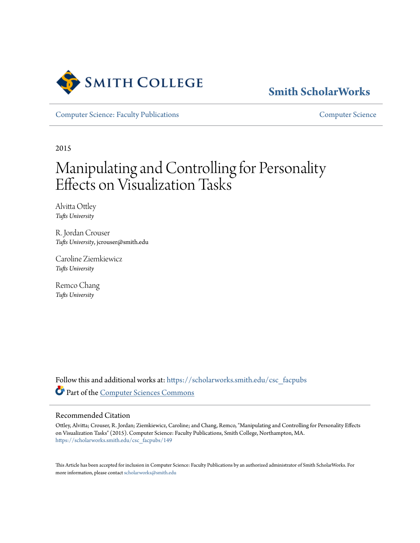

## **[Smith ScholarWorks](https://scholarworks.smith.edu/?utm_source=scholarworks.smith.edu%2Fcsc_facpubs%2F149&utm_medium=PDF&utm_campaign=PDFCoverPages)**

[Computer Science: Faculty Publications](https://scholarworks.smith.edu/csc_facpubs?utm_source=scholarworks.smith.edu%2Fcsc_facpubs%2F149&utm_medium=PDF&utm_campaign=PDFCoverPages) [Computer Science](https://scholarworks.smith.edu/csc?utm_source=scholarworks.smith.edu%2Fcsc_facpubs%2F149&utm_medium=PDF&utm_campaign=PDFCoverPages)

2015

# Manipulating and Controlling for Personality Effects on Visualization Tasks

Alvitta Ottley *Tufts University*

R. Jordan Crouser *Tufts University*, jcrouser@smith.edu

Caroline Ziemkiewicz *Tufts University*

Remco Chang *Tufts University*

Follow this and additional works at: [https://scholarworks.smith.edu/csc\\_facpubs](https://scholarworks.smith.edu/csc_facpubs?utm_source=scholarworks.smith.edu%2Fcsc_facpubs%2F149&utm_medium=PDF&utm_campaign=PDFCoverPages) Part of the [Computer Sciences Commons](http://network.bepress.com/hgg/discipline/142?utm_source=scholarworks.smith.edu%2Fcsc_facpubs%2F149&utm_medium=PDF&utm_campaign=PDFCoverPages)

#### Recommended Citation

Ottley, Alvitta; Crouser, R. Jordan; Ziemkiewicz, Caroline; and Chang, Remco, "Manipulating and Controlling for Personality Effects on Visualization Tasks" (2015). Computer Science: Faculty Publications, Smith College, Northampton, MA. [https://scholarworks.smith.edu/csc\\_facpubs/149](https://scholarworks.smith.edu/csc_facpubs/149?utm_source=scholarworks.smith.edu%2Fcsc_facpubs%2F149&utm_medium=PDF&utm_campaign=PDFCoverPages)

This Article has been accepted for inclusion in Computer Science: Faculty Publications by an authorized administrator of Smith ScholarWorks. For more information, please contact [scholarworks@smith.edu](mailto:scholarworks@smith.edu)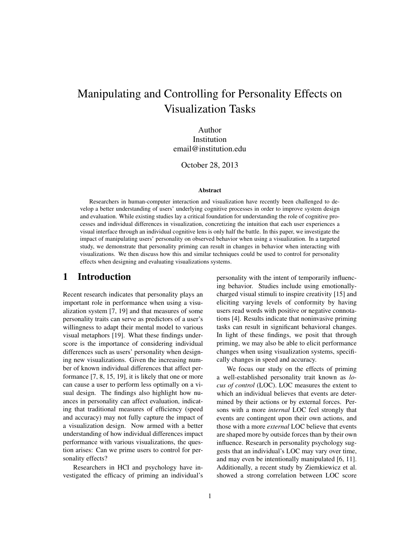## Manipulating and Controlling for Personality Effects on Visualization Tasks

## Author Institution email@institution.edu

October 28, 2013

#### Abstract

Researchers in human-computer interaction and visualization have recently been challenged to develop a better understanding of users' underlying cognitive processes in order to improve system design and evaluation. While existing studies lay a critical foundation for understanding the role of cognitive processes and individual differences in visualization, concretizing the intuition that each user experiences a visual interface through an individual cognitive lens is only half the battle. In this paper, we investigate the impact of manipulating users' personality on observed behavior when using a visualization. In a targeted study, we demonstrate that personality priming can result in changes in behavior when interacting with visualizations. We then discuss how this and similar techniques could be used to control for personality effects when designing and evaluating visualizations systems.

## 1 Introduction

Recent research indicates that personality plays an important role in performance when using a visualization system [7, 19] and that measures of some personality traits can serve as predictors of a user's willingness to adapt their mental model to various visual metaphors [19]. What these findings underscore is the importance of considering individual differences such as users' personality when designing new visualizations. Given the increasing number of known individual differences that affect performance [7, 8, 15, 19], it is likely that one or more can cause a user to perform less optimally on a visual design. The findings also highlight how nuances in personality can affect evaluation, indicating that traditional measures of efficiency (speed and accuracy) may not fully capture the impact of a visualization design. Now armed with a better understanding of how individual differences impact performance with various visualizations, the question arises: Can we prime users to control for personality effects?

Researchers in HCI and psychology have investigated the efficacy of priming an individual's personality with the intent of temporarily influencing behavior. Studies include using emotionallycharged visual stimuli to inspire creativity [15] and eliciting varying levels of conformity by having users read words with positive or negative connotations [4]. Results indicate that noninvasive priming tasks can result in significant behavioral changes. In light of these findings, we posit that through priming, we may also be able to elicit performance changes when using visualization systems, specifically changes in speed and accuracy.

We focus our study on the effects of priming a well-established personality trait known as *locus of control* (LOC). LOC measures the extent to which an individual believes that events are determined by their actions or by external forces. Persons with a more *internal* LOC feel strongly that events are contingent upon their own actions, and those with a more *external* LOC believe that events are shaped more by outside forces than by their own influence. Research in personality psychology suggests that an individual's LOC may vary over time, and may even be intentionally manipulated [6, 11]. Additionally, a recent study by Ziemkiewicz et al. showed a strong correlation between LOC score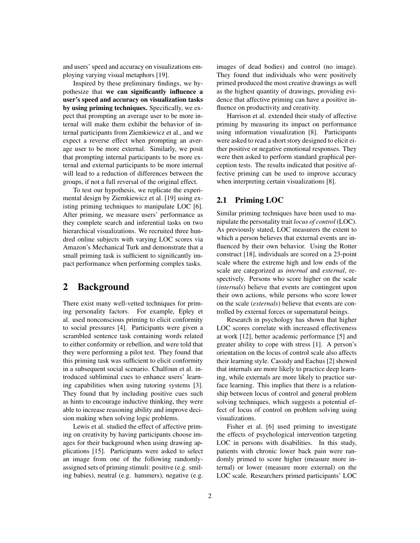and users' speed and accuracy on visualizations employing varying visual metaphors [19].

Inspired by these preliminary findings, we hypothesize that we can significantly influence a user's speed and accuracy on visualization tasks by using priming techniques. Specifically, we expect that prompting an average user to be more internal will make them exhibit the behavior of internal participants from Ziemkiewicz et al., and we expect a reverse effect when prompting an average user to be more external. Similarly, we posit that prompting internal participants to be more external and external participants to be more internal will lead to a reduction of differences between the groups, if not a full reversal of the original effect.

To test our hypothesis, we replicate the experimental design by Ziemkiewicz et al. [19] using existing priming techniques to manipulate LOC [6]. After priming, we measure users' performance as they complete search and inferential tasks on two hierarchical visualizations. We recruited three hundred online subjects with varying LOC scores via Amazon's Mechanical Turk and demonstrate that a small priming task is sufficient to significantly impact performance when performing complex tasks.

## 2 Background

There exist many well-vetted techniques for priming personality factors. For example, Epley et al. used nonconscious priming to elicit conformity to social pressures [4]. Participants were given a scrambled sentence task containing words related to either conformity or rebellion, and were told that they were performing a pilot test. They found that this priming task was sufficient to elicit conformity in a subsequent social scenario. Chalfoun et al. introduced subliminal cues to enhance users' learning capabilities when using tutoring systems [3]. They found that by including positive cues such as hints to encourage inductive thinking, they were able to increase reasoning ability and improve decision making when solving logic problems.

Lewis et al. studied the effect of affective priming on creativity by having participants choose images for their background when using drawing applications [15]. Participants were asked to select an image from one of the following randomlyassigned sets of priming stimuli: positive (e.g. smiling babies), neutral (e.g. hammers), negative (e.g.

images of dead bodies) and control (no image). They found that individuals who were positively primed produced the most creative drawings as well as the highest quantity of drawings, providing evidence that affective priming can have a positive influence on productivity and creativity.

Harrison et al. extended their study of affective priming by measuring its impact on performance using information visualization [8]. Participants were asked to read a short story designed to elicit either positive or negative emotional responses. They were then asked to perform standard graphical perception tests. The results indicated that positive affective priming can be used to improve accuracy when interpreting certain visualizations [8].

#### 2.1 Priming LOC

Similar priming techniques have been used to manipulate the personality trait *locus of control* (LOC). As previously stated, LOC measurers the extent to which a person believes that external events are influenced by their own behavior. Using the Rotter construct [18], individuals are scored on a 23-point scale where the extreme high and low ends of the scale are categorized as *internal* and *external*, respectively. Persons who score higher on the scale (*internals*) believe that events are contingent upon their own actions, while persons who score lower on the scale (*externals*) believe that events are controlled by external forces or supernatural beings.

Research in psychology has shown that higher LOC scores correlate with increased effectiveness at work [12], better academic performance [5] and greater ability to cope with stress [1]. A person's orientation on the locus of control scale also affects their learning style. Cassidy and Eachus [2] showed that internals are more likely to practice deep learning, while externals are more likely to practice surface learning. This implies that there is a relationship between locus of control and general problem solving techniques, which suggests a potential effect of locus of control on problem solving using visualizations.

Fisher et al. [6] used priming to investigate the effects of psychological intervention targeting LOC in persons with disabilities. In this study, patients with chronic lower back pain were randomly primed to score higher (measure more internal) or lower (measure more external) on the LOC scale. Researchers primed participants' LOC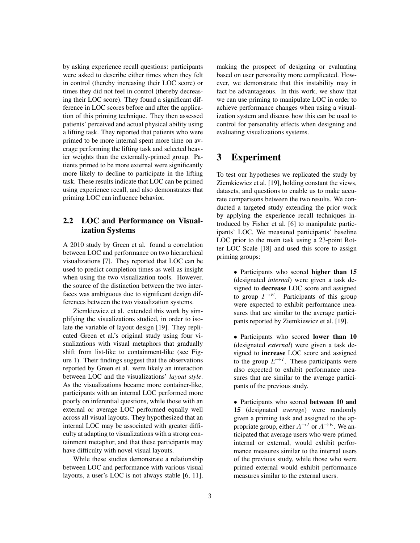by asking experience recall questions: participants were asked to describe either times when they felt in control (thereby increasing their LOC score) or times they did not feel in control (thereby decreasing their LOC score). They found a significant difference in LOC scores before and after the application of this priming technique. They then assessed patients' perceived and actual physical ability using a lifting task. They reported that patients who were primed to be more internal spent more time on average performing the lifting task and selected heavier weights than the externally-primed group. Patients primed to be more external were significantly more likely to decline to participate in the lifting task. These results indicate that LOC can be primed using experience recall, and also demonstrates that priming LOC can influence behavior.

### 2.2 LOC and Performance on Visualization Systems

A 2010 study by Green et al. found a correlation between LOC and performance on two hierarchical visualizations [7]. They reported that LOC can be used to predict completion times as well as insight when using the two visualization tools. However, the source of the distinction between the two interfaces was ambiguous due to significant design differences between the two visualization systems.

Ziemkiewicz et al. extended this work by simplifying the visualizations studied, in order to isolate the variable of layout design [19]. They replicated Green et al.'s original study using four visualizations with visual metaphors that gradually shift from list-like to containment-like (see Figure 1). Their findings suggest that the observations reported by Green et al. were likely an interaction between LOC and the visualizations' *layout style*. As the visualizations became more container-like, participants with an internal LOC performed more poorly on inferential questions, while those with an external or average LOC performed equally well across all visual layouts. They hypothesized that an internal LOC may be associated with greater difficulty at adapting to visualizations with a strong containment metaphor, and that these participants may have difficulty with novel visual layouts.

While these studies demonstrate a relationship between LOC and performance with various visual layouts, a user's LOC is not always stable [6, 11], making the prospect of designing or evaluating based on user personality more complicated. However, we demonstrate that this instability may in fact be advantageous. In this work, we show that we can use priming to manipulate LOC in order to achieve performance changes when using a visualization system and discuss how this can be used to control for personality effects when designing and evaluating visualizations systems.

## 3 Experiment

To test our hypotheses we replicated the study by Ziemkiewicz et al. [19], holding constant the views, datasets, and questions to enable us to make accurate comparisons between the two results. We conducted a targeted study extending the prior work by applying the experience recall techniques introduced by Fisher et al. [6] to manipulate participants' LOC. We measured participants' baseline LOC prior to the main task using a 23-point Rotter LOC Scale [18] and used this score to assign priming groups:

> • Participants who scored higher than 15 (designated *internal*) were given a task designed to decrease LOC score and assigned to group  $I^{\rightarrow E}$ . Participants of this group were expected to exhibit performance measures that are similar to the average participants reported by Ziemkiewicz et al. [19].

> • Participants who scored lower than 10 (designated *external*) were given a task designed to increase LOC score and assigned to the group  $E^{\rightarrow I}$ . These participants were also expected to exhibit performance measures that are similar to the average participants of the previous study.

> • Participants who scored between 10 and 15 (designated *average*) were randomly given a priming task and assigned to the appropriate group, either  $A^{\rightarrow I}$  or  $A^{\rightarrow E}$ . We anticipated that average users who were primed internal or external, would exhibit performance measures similar to the internal users of the previous study, while those who were primed external would exhibit performance measures similar to the external users.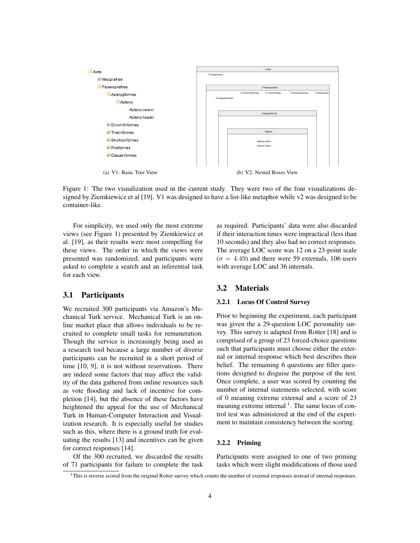

Figure 1: The two visualization used in the current study. They were two of the four visualizations designed by Ziemkiewicz et al [19]. V1 was designed to have a list-like metaphor while v2 was designed to be container-like.

For simplicity, we used only the most extreme views (see Figure 1) presented by Ziemkiewicz et al. [19], as their results were most compelling for these views. The order in which the views were presented was randomized, and participants were asked to complete a search and an inferential task for each view.

#### 3.1 Participants

We recruited 300 participants via Amazon's Mechanical Turk service. Mechanical Turk is an online market place that allows individuals to be recruited to complete small tasks for remuneration. Though the service is increasingly being used as a research tool because a large number of diverse participants can be recruited in a short period of time [10, 9], it is not without reservations. There are indeed some factors that may affect the validity of the data gathered from online resources such as vote flooding and lack of incentive for completion [14], but the absence of these factors have heightened the appeal for the use of Mechanical Turk in Human-Computer Interaction and Visualization research. It is especially useful for studies such as this, where there is a ground truth for evaluating the results [13] and incentives can be given for correct responses [14].

Of the 300 recruited, we discarded the results of 71 participants for failure to complete the task

as required. Participants' data were also discarded if their interaction times were impractical (less than 10 seconds) and they also had no correct responses. The average LOC score was 12 on a 23-point scale  $(\sigma = 4.49)$  and there were 59 externals, 106 users with average LOC and 36 internals.

#### 3.2 Materials

#### 3.2.1 Locus Of Control Survey

Prior to beginning the experiment, each participant was given the a 29-question LOC personality survey. This survey is adapted from Rotter [18] and is comprised of a group of 23 forced-choice questions such that participants must choose either the external or internal response which best describes their belief. The remaining 6 questions are filler questions designed to disguise the purpose of the test. Once complete, a user was scored by counting the number of internal statements selected, with score of 0 meaning extreme external and a score of 23 meaning extreme internal <sup>1</sup>. The same locus of control test was administered at the end of the experiment to maintain consistency between the scoring.

#### 3.2.2 Priming

Participants were assigned to one of two priming tasks which were slight modifications of those used

<sup>&</sup>lt;sup>1</sup>This is reverse scored from the original Rotter survey which counts the number of external responses instead of internal responses.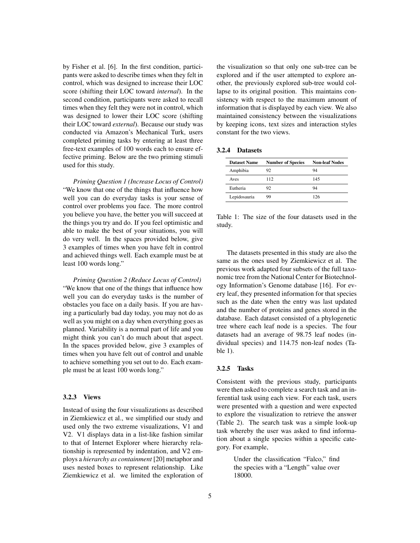by Fisher et al. [6]. In the first condition, participants were asked to describe times when they felt in control, which was designed to increase their LOC score (shifting their LOC toward *internal*). In the second condition, participants were asked to recall times when they felt they were not in control, which was designed to lower their LOC score (shifting their LOC toward *external*). Because our study was conducted via Amazon's Mechanical Turk, users completed priming tasks by entering at least three free-text examples of 100 words each to ensure effective priming. Below are the two priming stimuli used for this study.

*Priming Question 1 (Increase Locus of Control)* "We know that one of the things that influence how well you can do everyday tasks is your sense of control over problems you face. The more control you believe you have, the better you will succeed at the things you try and do. If you feel optimistic and able to make the best of your situations, you will do very well. In the spaces provided below, give 3 examples of times when you have felt in control and achieved things well. Each example must be at least 100 words long."

*Priming Question 2 (Reduce Locus of Control)* "We know that one of the things that influence how well you can do everyday tasks is the number of obstacles you face on a daily basis. If you are having a particularly bad day today, you may not do as well as you might on a day when everything goes as planned. Variability is a normal part of life and you might think you can't do much about that aspect. In the spaces provided below, give 3 examples of times when you have felt out of control and unable to achieve something you set out to do. Each example must be at least 100 words long."

#### 3.2.3 Views

Instead of using the four visualizations as described in Ziemkiewicz et al., we simplified our study and used only the two extreme visualizations, V1 and V2. V1 displays data in a list-like fashion similar to that of Internet Explorer where hierarchy relationship is represented by indentation, and V2 employs a *hierarchy as containment* [20] metaphor and uses nested boxes to represent relationship. Like Ziemkiewicz et al. we limited the exploration of the visualization so that only one sub-tree can be explored and if the user attempted to explore another, the previously explored sub-tree would collapse to its original position. This maintains consistency with respect to the maximum amount of information that is displayed by each view. We also maintained consistency between the visualizations by keeping icons, text sizes and interaction styles constant for the two views.

#### 3.2.4 Datasets

| <b>Dataset Name</b> | <b>Number of Species</b> | <b>Non-leaf Nodes</b> |
|---------------------|--------------------------|-----------------------|
| Amphibia            | 92                       | 94                    |
| Aves                | 112                      | 145                   |
| Eutheria            | 92                       | 94                    |
| Lepidosauria        | 99                       | 126                   |

Table 1: The size of the four datasets used in the study.

The datasets presented in this study are also the same as the ones used by Ziemkiewicz et al. The previous work adapted four subsets of the full taxonomic tree from the National Center for Biotechnology Information's Genome database [16]. For every leaf, they presented information for that species such as the date when the entry was last updated and the number of proteins and genes stored in the database. Each dataset consisted of a phylogenetic tree where each leaf node is a species. The four datasets had an average of 98.75 leaf nodes (individual species) and 114.75 non-leaf nodes (Table 1).

#### 3.2.5 Tasks

Consistent with the previous study, participants were then asked to complete a search task and an inferential task using each view. For each task, users were presented with a question and were expected to explore the visualization to retrieve the answer (Table 2). The search task was a simple look-up task whereby the user was asked to find information about a single species within a specific category. For example,

> Under the classification "Falco," find the species with a "Length" value over 18000.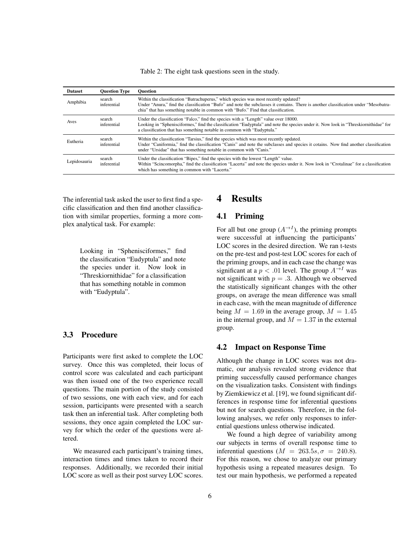#### Table 2: The eight task questions seen in the study.

| <b>Dataset</b> | <b>Ouestion Type</b>  | <b>Ouestion</b>                                                                                                                                                                                                                                                                                                  |
|----------------|-----------------------|------------------------------------------------------------------------------------------------------------------------------------------------------------------------------------------------------------------------------------------------------------------------------------------------------------------|
| Amphibia       | search<br>inferential | Within the classification "Batrachuperus," which species was most recently updated?<br>Under "Anura," find the classification "Bufo" and note the subclasses it contains. There is another classification under "Mesobatra-<br>chia" that has something notable in common with "Bufo." Find that classification. |
| Aves           | search<br>inferential | Under the classification "Falco," find the species with a "Length" value over 18000.<br>Looking in "Sphenisciformes," find the classification "Eudyptula" and note the species under it. Now look in "Threskiornithidae" for<br>a classification that has something notable in common with "Eudyptula."          |
| Eutheria       | search<br>inferential | Within the classification "Tarsius," find the species which was most recently updated.<br>Under "Caniformia," find the classification "Canis" and note the subclasses and species it cotains. Now find another classification<br>under "Ursidae" that has something notable in common with "Canis."              |
| Lepidosauria   | search<br>inferential | Under the classification "Bipes," find the species with the lowest "Length" value.<br>Within "Scincomorpha," find the classification "Lacerta" and note the species under it. Now look in "Crotalinae" for a classification<br>which has something in common with "Lacerta."                                     |

The inferential task asked the user to first find a specific classification and then find another classification with similar properties, forming a more complex analytical task. For example:

> Looking in "Sphenisciformes," find the classification "Eudyptula" and note the species under it. Now look in "Threskiornithidae" for a classification that has something notable in common with "Eudyptula".

#### 3.3 Procedure

Participants were first asked to complete the LOC survey. Once this was completed, their locus of control score was calculated and each participant was then issued one of the two experience recall questions. The main portion of the study consisted of two sessions, one with each view, and for each session, participants were presented with a search task then an inferential task. After completing both sessions, they once again completed the LOC survey for which the order of the questions were altered.

We measured each participant's training times, interaction times and times taken to record their responses. Additionally, we recorded their initial LOC score as well as their post survey LOC scores.

## 4 Results

#### 4.1 Priming

For all but one group  $(A^{\rightarrow I})$ , the priming prompts were successful at influencing the participants' LOC scores in the desired direction. We ran t-tests on the pre-test and post-test LOC scores for each of the priming groups, and in each case the change was significant at a  $p < .01$  level. The group  $A^{-1}$  was not significant with  $p = .3$ . Although we observed the statistically significant changes with the other groups, on average the mean difference was small in each case, with the mean magnitude of difference being  $M = 1.69$  in the average group,  $M = 1.45$ in the internal group, and  $M = 1.37$  in the external group.

#### 4.2 Impact on Response Time

Although the change in LOC scores was not dramatic, our analysis revealed strong evidence that priming successfully caused performance changes on the visualization tasks. Consistent with findings by Ziemkiewicz et al. [19], we found significant differences in response time for inferential questions but not for search questions. Therefore, in the following analyses, we refer only responses to inferential questions unless otherwise indicated.

We found a high degree of variability among our subjects in terms of overall response time to inferential questions ( $M = 263.5s, \sigma = 240.8$ ). For this reason, we chose to analyze our primary hypothesis using a repeated measures design. To test our main hypothesis, we performed a repeated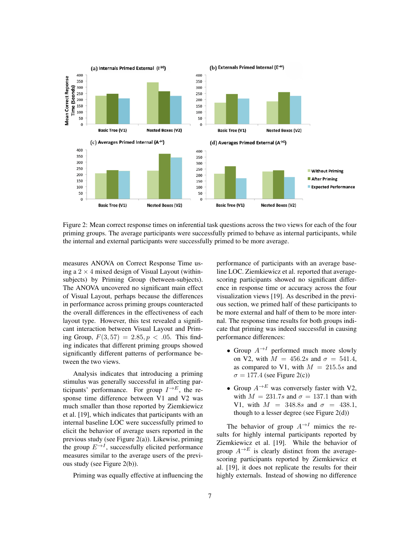

Figure 2: Mean correct response times on inferential task questions across the two views for each of the four priming groups. The average participants were successfully primed to behave as internal participants, while the internal and external participants were successfully primed to be more average.

measures ANOVA on Correct Response Time using a  $2 \times 4$  mixed design of Visual Layout (withinsubjects) by Priming Group (between-subjects). The ANOVA uncovered no significant main effect of Visual Layout, perhaps because the differences in performance across priming groups counteracted the overall differences in the effectiveness of each layout type. However, this test revealed a significant interaction between Visual Layout and Priming Group,  $F(3, 57) = 2.85, p < .05$ . This finding indicates that different priming groups showed significantly different patterns of performance between the two views.

Analysis indicates that introducing a priming stimulus was generally successful in affecting participants' performance. For group  $I^{\rightarrow E}$ , the response time difference between V1 and V2 was much smaller than those reported by Ziemkiewicz et al. [19], which indicates that participants with an internal baseline LOC were successfully primed to elicit the behavior of average users reported in the previous study (see Figure 2(a)). Likewise, priming the group  $E^{\rightarrow I}$ , successfully elicited performance measures similar to the average users of the previous study (see Figure 2(b)).

Priming was equally effective at influencing the

performance of participants with an average baseline LOC. Ziemkiewicz et al. reported that averagescoring participants showed no significant difference in response time or accuracy across the four visualization views [19]. As described in the previous section, we primed half of these participants to be more external and half of them to be more internal. The response time results for both groups indicate that priming was indeed successful in causing performance differences:

- Group  $A^{-1}$  performed much more slowly on V2, with  $M = 456.2s$  and  $\sigma = 541.4$ , as compared to V1, with  $M = 215.5s$  and  $\sigma = 177.4$  (see Figure 2(c))
- Group  $A^{\rightarrow E}$  was conversely faster with V2, with  $M = 231.7s$  and  $\sigma = 137.1$  than with V1, with  $M = 348.8s$  and  $\sigma = 438.1$ , though to a lesser degree (see Figure  $2(d)$ )

The behavior of group  $A^{\rightarrow I}$  mimics the results for highly internal participants reported by Ziemkiewicz et al. [19]. While the behavior of group  $A^{\rightarrow E}$  is clearly distinct from the averagescoring participants reported by Ziemkiewicz et al. [19], it does not replicate the results for their highly externals. Instead of showing no difference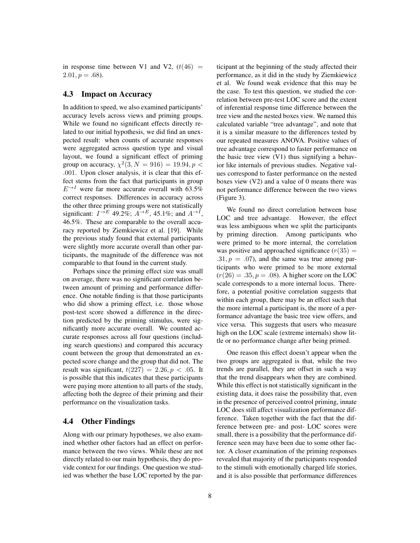in response time between V1 and V2,  $(t(46)$  =  $2.01, p = .68$ ).

#### 4.3 Impact on Accuracy

In addition to speed, we also examined participants' accuracy levels across views and priming groups. While we found no significant effects directly related to our initial hypothesis, we did find an unexpected result: when counts of accurate responses were aggregated across question type and visual layout, we found a significant effect of priming group on accuracy,  $\chi^2(3, N = 916) = 19.94, p <$ .001. Upon closer analysis, it is clear that this effect stems from the fact that participants in group  $E^{-1}$  were far more accurate overall with 63.5% correct responses. Differences in accuracy across the other three priming groups were not statistically significant:  $I^{\rightarrow E}$  49.2%;  $A^{\rightarrow E}$ , 45.1%; and  $A^{\rightarrow I}$ , 46.5%. These are comparable to the overall accuracy reported by Ziemkiewicz et al. [19]. While the previous study found that external participants were slightly more accurate overall than other participants, the magnitude of the difference was not comparable to that found in the current study.

Perhaps since the priming effect size was small on average, there was no significant correlation between amount of priming and performance difference. One notable finding is that those participants who did show a priming effect, i.e. those whose post-test score showed a difference in the direction predicted by the priming stimulus, were significantly more accurate overall. We counted accurate responses across all four questions (including search questions) and compared this accuracy count between the group that demonstrated an expected score change and the group that did not. The result was significant,  $t(227) = 2.26, p < .05$ . It is possible that this indicates that these participants were paying more attention to all parts of the study, affecting both the degree of their priming and their performance on the visualization tasks.

#### 4.4 Other Findings

Along with our primary hypotheses, we also examined whether other factors had an effect on performance between the two views. While these are not directly related to our main hypothesis, they do provide context for our findings. One question we studied was whether the base LOC reported by the participant at the beginning of the study affected their performance, as it did in the study by Ziemkiewicz et al. We found weak evidence that this may be the case. To test this question, we studied the correlation between pre-test LOC score and the extent of inferential response time difference between the tree view and the nested boxes view. We named this calculated variable "tree advantage", and note that it is a similar measure to the differences tested by our repeated measures ANOVA. Positive values of tree advantage correspond to faster performance on the basic tree view (V1) thus signifying a behavior like internals of previous studies. Negative values correspond to faster performance on the nested boxes view (V2) and a value of 0 means there was not performance difference between the two views (Figure 3).

We found no direct correlation between base LOC and tree advantage. However, the effect was less ambiguous when we split the participants by priming direction. Among participants who were primed to be more internal, the correlation was positive and approached significance  $(r(35) =$  $.31, p = .07$ , and the same was true among participants who were primed to be more external  $(r(26) = .35, p = .08)$ . A higher score on the LOC scale corresponds to a more internal locus. Therefore, a potential positive correlation suggests that within each group, there may be an effect such that the more internal a participant is, the more of a performance advantage the basic tree view offers, and vice versa. This suggests that users who measure high on the LOC scale (extreme internals) show little or no performance change after being primed.

One reason this effect doesn't appear when the two groups are aggregated is that, while the two trends are parallel, they are offset in such a way that the trend disappears when they are combined. While this effect is not statistically significant in the existing data, it does raise the possibility that, even in the presence of perceived control priming, innate LOC does still affect visualization performance difference. Taken together with the fact that the difference between pre- and post- LOC scores were small, there is a possibility that the performance difference seen may have been due to some other factor. A closer examination of the priming responses revealed that majority of the participants responded to the stimuli with emotionally charged life stories, and it is also possible that performance differences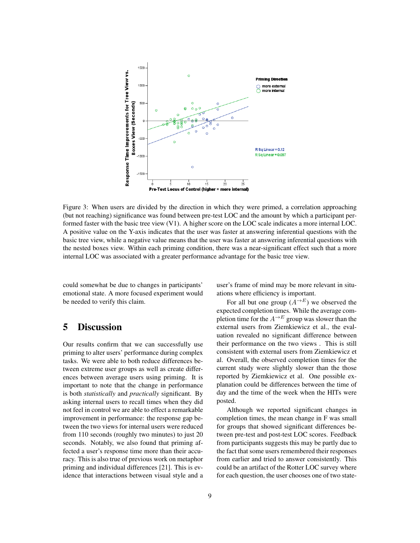

Figure 3: When users are divided by the direction in which they were primed, a correlation approaching (but not reaching) significance was found between pre-test LOC and the amount by which a participant performed faster with the basic tree view (V1). A higher score on the LOC scale indicates a more internal LOC. A positive value on the Y-axis indicates that the user was faster at answering inferential questions with the basic tree view, while a negative value means that the user was faster at answering inferential questions with the nested boxes view. Within each priming condition, there was a near-significant effect such that a more internal LOC was associated with a greater performance advantage for the basic tree view.

could somewhat be due to changes in participants' emotional state. A more focused experiment would be needed to verify this claim.

## 5 Discussion

Our results confirm that we can successfully use priming to alter users' performance during complex tasks. We were able to both reduce differences between extreme user groups as well as create differences between average users using priming. It is important to note that the change in performance is both *statistically* and *practically* significant. By asking internal users to recall times when they did not feel in control we are able to effect a remarkable improvement in performance: the response gap between the two views for internal users were reduced from 110 seconds (roughly two minutes) to just 20 seconds. Notably, we also found that priming affected a user's response time more than their accuracy. This is also true of previous work on metaphor priming and individual differences [21]. This is evidence that interactions between visual style and a their performance on the two views . This is still consistent with external users from Ziemkiewicz et

ations where efficiency is important.

al. Overall, the observed completion times for the current study were slightly slower than the those reported by Ziemkiewicz et al. One possible explanation could be differences between the time of day and the time of the week when the HITs were posted.

user's frame of mind may be more relevant in situ-

For all but one group  $(A^{\rightarrow E})$  we observed the expected completion times. While the average completion time for the  $A^{\to E}$  group was slower than the external users from Ziemkiewicz et al., the evaluation revealed no significant difference between

Although we reported significant changes in completion times, the mean change in F was small for groups that showed significant differences between pre-test and post-test LOC scores. Feedback from participants suggests this may be partly due to the fact that some users remembered their responses from earlier and tried to answer consistently. This could be an artifact of the Rotter LOC survey where for each question, the user chooses one of two state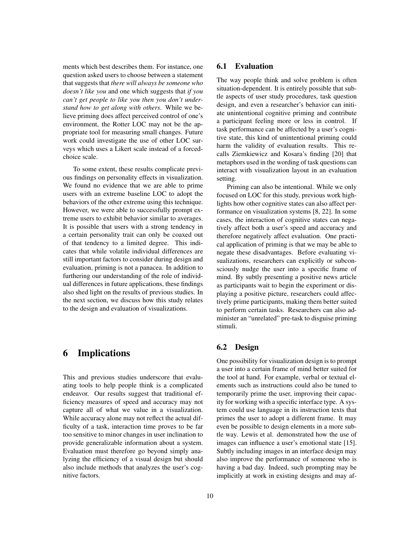ments which best describes them. For instance, one question asked users to choose between a statement that suggests that *there will always be someone who doesn't like you* and one which suggests that *if you can't get people to like you then you don't understand how to get along with others*. While we believe priming does affect perceived control of one's environment, the Rotter LOC may not be the appropriate tool for measuring small changes. Future work could investigate the use of other LOC surveys which uses a Likert scale instead of a forcedchoice scale.

To some extent, these results complicate previous findings on personality effects in visualization. We found no evidence that we are able to prime users with an extreme baseline LOC to adopt the behaviors of the other extreme using this technique. However, we were able to successfully prompt extreme users to exhibit behavior similar to averages. It is possible that users with a strong tendency in a certain personality trait can only be coaxed out of that tendency to a limited degree. This indicates that while volatile individual differences are still important factors to consider during design and evaluation, priming is not a panacea. In addition to furthering our understanding of the role of individual differences in future applications, these findings also shed light on the results of previous studies. In the next section, we discuss how this study relates to the design and evaluation of visualizations.

## 6 Implications

This and previous studies underscore that evaluating tools to help people think is a complicated endeavor. Our results suggest that traditional efficiency measures of speed and accuracy may not capture all of what we value in a visualization. While accuracy alone may not reflect the actual difficulty of a task, interaction time proves to be far too sensitive to minor changes in user inclination to provide generalizable information about a system. Evaluation must therefore go beyond simply analyzing the efficiency of a visual design but should also include methods that analyzes the user's cognitive factors.

The way people think and solve problem is often situation-dependent. It is entirely possible that subtle aspects of user study procedures, task question design, and even a researcher's behavior can initiate unintentional cognitive priming and contribute a participant feeling more or less in control. If task performance can be affected by a user's cognitive state, this kind of unintentional priming could harm the validity of evaluation results. This recalls Ziemkiewicz and Kosara's finding [20] that metaphors used in the wording of task questions can interact with visualization layout in an evaluation setting.

Priming can also be intentional. While we only focused on LOC for this study, previous work highlights how other cognitive states can also affect performance on visualization systems [8, 22]. In some cases, the interaction of cognitive states can negatively affect both a user's speed and accuracy and therefore negatively affect evaluation. One practical application of priming is that we may be able to negate these disadvantages. Before evaluating visualizations, researchers can explicitly or subconsciously nudge the user into a specific frame of mind. By subtly presenting a positive news article as participants wait to begin the experiment or displaying a positive picture, researchers could affectively prime participants, making them better suited to perform certain tasks. Researchers can also administer an "unrelated" pre-task to disguise priming stimuli.

#### 6.2 Design

One possibility for visualization design is to prompt a user into a certain frame of mind better suited for the tool at hand. For example, verbal or textual elements such as instructions could also be tuned to temporarily prime the user, improving their capacity for working with a specific interface type. A system could use language in its instruction texts that primes the user to adopt a different frame. It may even be possible to design elements in a more subtle way. Lewis et al. demonstrated how the use of images can influence a user's emotional state [15]. Subtly including images in an interface design may also improve the performance of someone who is having a bad day. Indeed, such prompting may be implicitly at work in existing designs and may af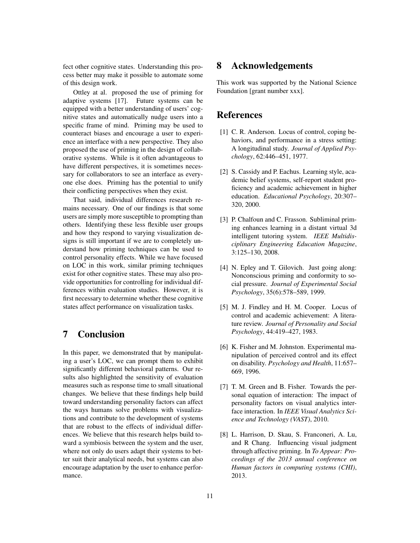fect other cognitive states. Understanding this process better may make it possible to automate some of this design work.

Ottley at al. proposed the use of priming for adaptive systems [17]. Future systems can be equipped with a better understanding of users' cognitive states and automatically nudge users into a specific frame of mind. Priming may be used to counteract biases and encourage a user to experience an interface with a new perspective. They also proposed the use of priming in the design of collaborative systems. While is it often advantageous to have different perspectives, it is sometimes necessary for collaborators to see an interface as everyone else does. Priming has the potential to unify their conflicting perspectives when they exist.

That said, individual differences research remains necessary. One of our findings is that some users are simply more susceptible to prompting than others. Identifying these less flexible user groups and how they respond to varying visualization designs is still important if we are to completely understand how priming techniques can be used to control personality effects. While we have focused on LOC in this work, similar priming techniques exist for other cognitive states. These may also provide opportunities for controlling for individual differences within evaluation studies. However, it is first necessary to determine whether these cognitive states affect performance on visualization tasks.

## 7 Conclusion

In this paper, we demonstrated that by manipulating a user's LOC, we can prompt them to exhibit significantly different behavioral patterns. Our results also highlighted the sensitivity of evaluation measures such as response time to small situational changes. We believe that these findings help build toward understanding personality factors can affect the ways humans solve problems with visualizations and contribute to the development of systems that are robust to the effects of individual differences. We believe that this research helps build toward a symbiosis between the system and the user, where not only do users adapt their systems to better suit their analytical needs, but systems can also encourage adaptation by the user to enhance performance.

## 8 Acknowledgements

This work was supported by the National Science Foundation [grant number xxx].

### References

- [1] C. R. Anderson. Locus of control, coping behaviors, and performance in a stress setting: A longitudinal study. *Journal of Applied Psychology*, 62:446–451, 1977.
- [2] S. Cassidy and P. Eachus. Learning style, academic belief systems, self-report student proficiency and academic achievement in higher education. *Educational Psychology*, 20:307– 320, 2000.
- [3] P. Chalfoun and C. Frasson. Subliminal priming enhances learning in a distant virtual 3d intelligent tutoring system. *IEEE Multidisciplinary Engineering Education Magazine*, 3:125–130, 2008.
- [4] N. Epley and T. Gilovich. Just going along: Nonconscious priming and conformity to social pressure. *Journal of Experimental Social Psychology*, 35(6):578–589, 1999.
- [5] M. J. Findley and H. M. Cooper. Locus of control and academic achievement: A literature review. *Journal of Personality and Social Psychology*, 44:419–427, 1983.
- [6] K. Fisher and M. Johnston. Experimental manipulation of perceived control and its effect on disability. *Psychology and Health*, 11:657– 669, 1996.
- [7] T. M. Green and B. Fisher. Towards the personal equation of interaction: The impact of personality factors on visual analytics interface interaction. In *IEEE Visual Analytics Science and Technology (VAST)*, 2010.
- [8] L. Harrison, D. Skau, S. Franconeri, A. Lu, and R Chang. Influencing visual judgment through affective priming. In *To Appear: Proceedings of the 2013 annual conference on Human factors in computing systems (CHI)*, 2013.